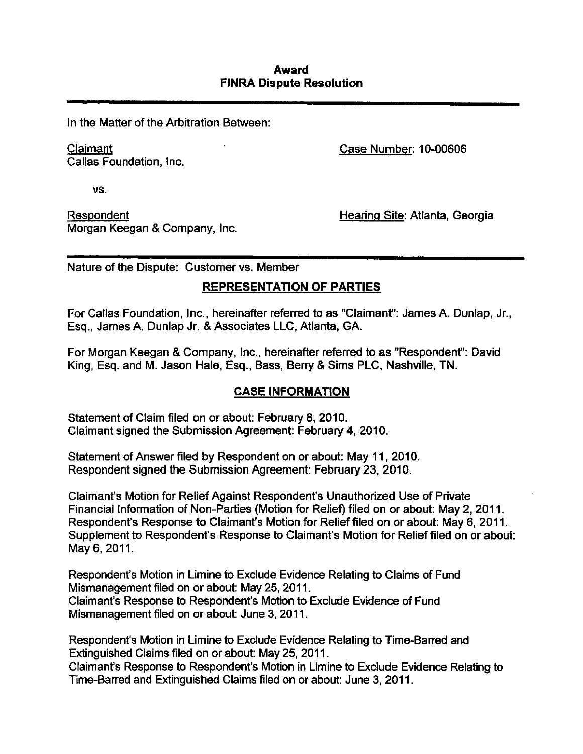## **Award FINRA Dispute Resolution**

In the Matter of the Arbitration Between:

Callas Foundation, Inc.

Claimant Case Number: 10-00606

**vs.** 

Respondent **Hearing Site: Atlanta, Georgia** Morgan Keegan & Company, Inc.

Nature of the Dispute: Customer vs. Member

# **REPRESENTATION OF PARTIES**

For Callas Foundation, Inc., hereinafter referred to as "Claimant": James A. Dunlap, Jr., Esq., James A. Dunlap Jr. & Associates LLC, Atlanta, GA.

For Morgan Keegan & Company, Inc., hereinafter referred to as "Respondent": David King, Esq. and M. Jason Hale, Esq., Bass, Berry & Sims PLC, Nashville, TN.

# **CASE INFORMATION**

Statement of Claim filed on or about: February 8, 2010. Claimant signed the Submission Agreement: February 4, 2010.

Statement of Answer filed by Respondent on or about: May 11, 2010. Respondent signed the Submission Agreement: February 23, 2010.

Claimant's Motion for Relief Against Respondent's Unauthorized Use of Private Financial Information of Non-Parties (Motion for Relief) filed on or about: May 2, 2011. Respondent's Response to Claimant's Motion for Relief filed on or about: May 6, 2011. Supplement to Respondent's Response to Claimant's Motion for Relief filed on or about: May 6, 2011.

Respondent's Motion in Limine to Exclude Evidence Relating to Claims of Fund Mismanagement filed on or about: May 25, 2011. Claimant's Response to Respondent's Motion to Exclude Evidence of Fund Mismanagement filed on or about: June 3, 2011.

Respondent's Motion in Limine to Exclude Evidence Relating to Time-Barred and Extinguished Claims filed on or about: May 25, 2011.

Claimant's Response to Respondent's Motion in Limine to Exclude Evidence Relating to Time-Barred and Extinguished Claims filed on or about: June 3, 2011.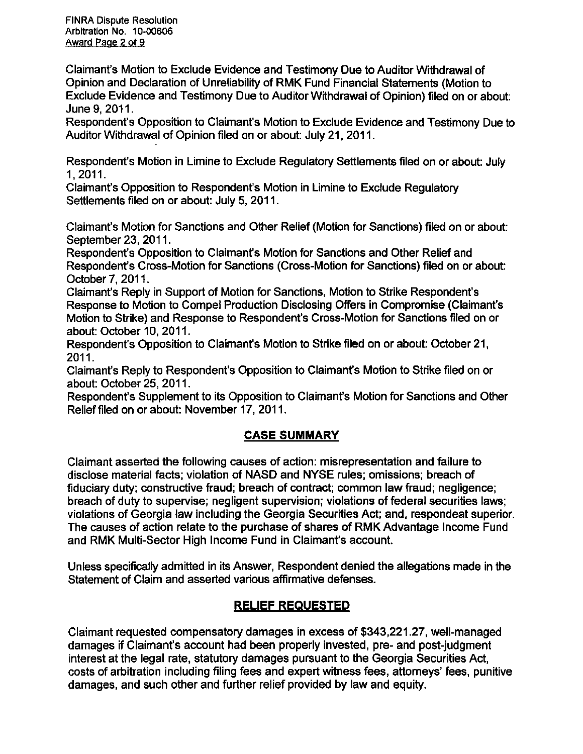FINRA Dispute Resolution Arbitration No. 10-00606 Award Page 2 of 9

Claimant's Motion to Exclude Evidence and Testimony Due to Auditor Withdrawal of Opinion and Declaration of Unreliability of RMK Fund Financial Statements (Motion to Exclude Evidence and Testimony Due to Auditor Withdrawal of Opinion) filed on or about: June 9, 2011.

Respondent's Opposition to Claimant's Motion to Exclude Evidence and Testimony Due to Auditor Withdrawal of Opinion filed on or about: July 21, 2011.

Respondent's Motion in Limine to Exclude Regulatory Seftlements filed on or about: July 1,2011.

Claimant's Opposition to Respondent's Motion in Limine to Exclude Regulatory Settlements filed on or about: July 5, 2011.

Claimant's Motion for Sanctions and Other Relief (Motion for Sanctions) filed on or about: September 23, 2011.

Respondent's Opposition to Claimant's Motion for Sanctions and Other Relief and Respondent's Cross-Motion for Sanctions (Cross-Motion for Sanctions) filed on or about October 7, 2011.

Claimant's Reply in Support of Motion for Sanctions, Motion to Strike Respondent's Response to Motion to Compel Production Disclosing Offers in Compromise (Claimant's Motion to Strike) and Response to Respondent's Cross-Motion for Sanctions filed on or about: October 10, 2011.

Respondent's Opposition to Claimant's Motion to Strike filed on or about: October 21, 2011.

Claimant's Reply to Respondent's Opposition to Claimant's Motion to Strike filed on or about: October 25, 2011.

Respondent's Supplement to its Opposition to Claimant's Motion for Sanctions and Other Relief filed on or about: November 17, 2011.

# **CASE SUMMARY**

Claimant asserted the following causes of action: misrepresentation and failure to disclose material facts; violation of NASD and NYSE rules; omissions; breach of fiduciary duty; constructive fraud; breach of contract; common law fraud; negligence; breach of duty to supervise; negligent supervision; violations of federal securities laws; violations of Georgia law including the Georgia Securities Act; and, respondeat superior. The causes of action relate to the purchase of shares of RMK Advantage Income Fund and RMK Multi-Sector High Income Fund in Claimant's account

Unless specifically admitted in its Answer, Respondent denied the allegations made in the Statement of Claim and asserted various affirmative defenses.

# **RELIEF REQUESTED**

Claimant requested compensatory damages in excess of \$343,221.27, well-managed damages if Claimant's account had been properiy invested, pre- and post-judgment interest at the legal rate, statutory damages pursuant to the Georgia Securities Act, costs of arbitration including filing fees and expert witness fees, attorneys' fees, punitive damages, and such other and further relief provided by law and equity.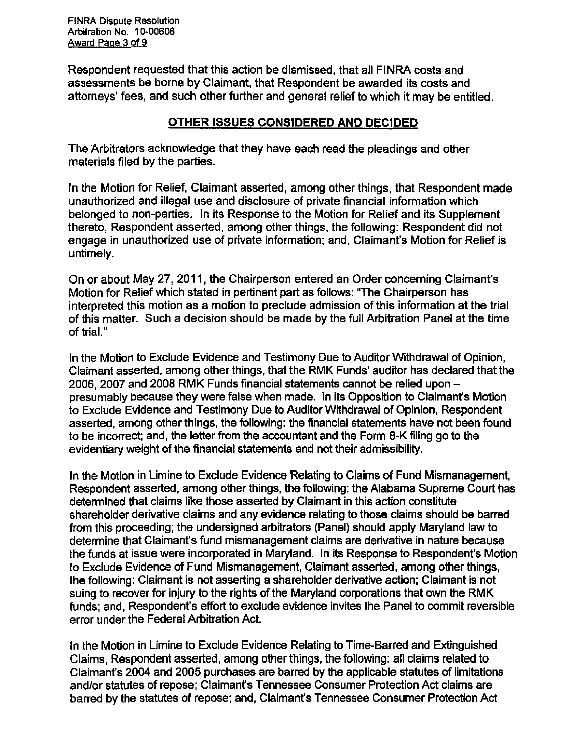FINRA Dispute Resolution Arbitration No. 10-00606 Award Page 3 of 9

Respondent requested that this action be dismissed, that all FINRA costs and assessments be borne by Claimant, that Respondent be awarded its costs and attorneys' fees, and such other further and general relief to which it may be entitled.

## **OTHER ISSUES CONSIDERED AND DECIDED**

The Arbitrators acknowledge that they have each read the pleadings and other materials filed by the parties.

In the Motion for Relief, Claimant asserted, among other things, that Respondent made unauthorized and illegal use and disclosure of private financial information which belonged to non-parties. In its Response to the Motion for Relief and its Supplement thereto. Respondent asserted, among other things, the following: Respondent did not engage in unauthorized use of private information; and, Claimant's Motion for Relief is untimely.

On or about May 27, 2011, the Chairperson entered an Order concerning Claimant's Motion for Relief which stated in pertinent part as follows: "The Chairperson has interpreted this motion as a motion to preclude admission of this information at the trial of this matter. Such a decision should be made by the full Arbitration Panel at the time of trial."

In the Motion to Exclude Evidence and Testimony Due to Auditor Withdrawal of Opinion, Claimant asserted, among other things, that the RMK Funds' auditor has declared that the 2006, 2007 and 2008 RMK Funds financial statements cannot be relied upon presumably because they were false when made. In its Opposition to Claimant's Motion to Exclude Evidence and Testimony Due to Auditor Withdrawal of Opinion, Respondent asserted, among other things, the following: the financial statements have not been found to be incorrect; and, the letter from the accountant and the Form 8-K filing go to the evidentiary weight of the financial statements and not their admissibility.

In the Motion in Limine to Exclude Evidence Relating to Claims of Fund Mismanagement, Respondent asserted, among other things, the following: the Alabama Supreme Court has detemnined that claims like those asserted by Claimant in this action constitute shareholder derivative claims and any evidence relating to those claims should be barred from this proceeding; the undersigned arbitrators (Panel) should apply Maryland law to determine that Claimant's fund mismanagement claims are derivative in nature because the funds at issue were incorporated in Maryland. In its Response to Respondent's Motion to Exclude Evidence of Fund Mismanagement, Claimant asserted, among other things, the following: Claimant is not asserting a shareholder derivative action; Claimant is not suing to recover for injury to the rights of the Maryland corporations that own the RMK funds; and, Respondent's effort to exclude evidence invites the Panel to commit reversible error under the Federal Arbitration Act.

In the Motion in Limine to Exclude Evidence Relating to Time-Barred and Extinguished Claims, Respondent asserted, among other things, the following: all claims related to Claimant's 2004 and 2005 purchases are barred by the applicable statutes of limitations and/or statutes of repose; Claimant's Tennessee Consumer Protection Act claims are barred by the statutes of repose; and, Claimant's Tennessee Consumer Protection Act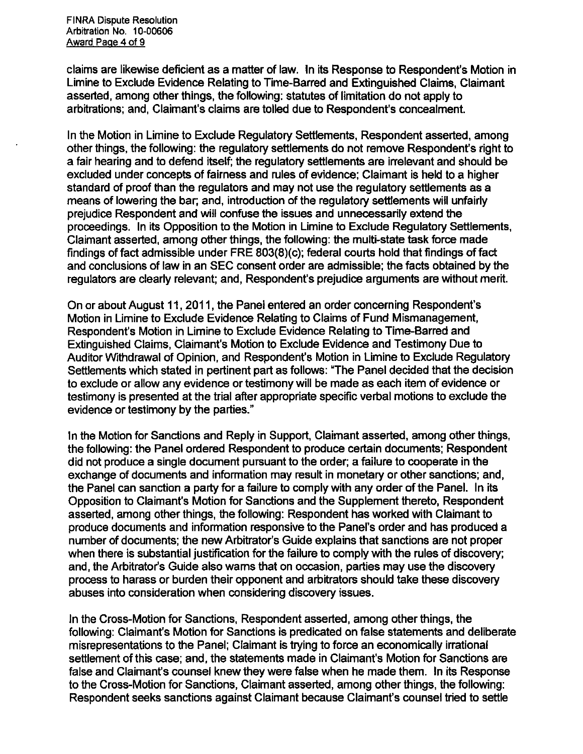**FINRA Dispute Resolution Arbitration No. 10-00606 Award Page 4 of 9** 

**claims are likewise deficient as a matter of law. In its Response to Respondent's Motion in Limine to Exclude Evidence Relating to Time-Barred and Extinguished Claims, Claimant asserted, among other things, the following: statutes of limitation do not apply to arbitrations; and. Claimant's claims are tolled due to Respondent's concealment.** 

**In the Motion in Limine to Exclude Regulatory Seftlements, Respondent asserted, among other things, the following: the regulatory seftlements do not remove Respondent's right to a fair hearing and to defend itself; the regulatory seftlements are irrelevant and should be excluded under concepts of fairness and rules of evidence; Claimant is held to a higher standard of proof than the regulators and may not use the regulatory seftlements as a means of lowering the bar; and, introduction of the regulatory seftlements will unfairly prejudice Respondent and will confuse the issues and unnecessarily extend the proceedings. In its Opposition to the Motion in Limine to Exclude Regulatory Seftlements, Claimant asserted, among other things, the following: the multi-state task force made findings of fact admissible under FRE 803(8)(c); federal courts hold that findings of fact and conclusions of law in an SEC consent order are admissible; the facts obtained by the regulators are clearly relevant; and, Respondent's prejudice arguments are without merit.** 

**On or about August 11, 2011, the Panel entered an order concerning Respondent's Motion in Limine to Exclude Evidence Relating to Claims of Fund Mismanagement, Respondent's Motion in Limine to Exclude Evidence Relating to Time-Barred and Extinguished Claims, Claimant's Motion to Exclude Evidence and Testimony Due to Auditor Withdrawal of Opinion, and Respondent's Motion in Limine to Exclude Regulatory Settlements which stated in pertinent part as follows: "The Panel decided that the decision to exclude or allow any evidence or testimony will be made as each item of evidence or**  testimony is presented at the trial after appropriate specific verbal motions to exclude the **evidence or testimony by the parties."** 

**In the Motion for Sanctions and Reply in Support, Claimant asserted, among other things, the following: the Panel ordered Respondent to produce certain documents; Respondent did not produce a single document pursuant to the order; a failure to cooperate in the**  exchange of documents and information may result in monetary or other sanctions; and, **the Panel can sanction a party for a failure to comply with any order of the Panel. In its Opposition to Claimant's Motion for Sanctions and the Supplement thereto, Respondent asserted, among other things, the following: Respondent has worked with Claimant to produce documents and information responsive to the Panel's order and has produced a number of documents; the new Arbitrator's Guide explains that sanctions are not proper when there is substantial justification for the failure to comply with the rules of discovery; and, the Arbitrator's Guide also warns that on occasion, parties may use the discovery process to harass or burden their opponent and arbitrators should take these discovery abuses into consideration when considering discovery issues.** 

**In the Cross-Motion for Sanctions, Respondent asserted, among other things, the following: Claimant's Motion for Sanctions is predicated on false statements and deliberate misrepresentations to the Panel; Claimant is trying to force an economically irrational settlement of this case; and, the statements made in Claimant's Motion for Sanctions are false and Claimant's counsel knew they were false when he made them. In its Response to the Cross-Motion for Sanctions, Claimant asserted, among other things, the following: Respondent seeks sanctions against Claimant because Claimant's counsel tried to settle**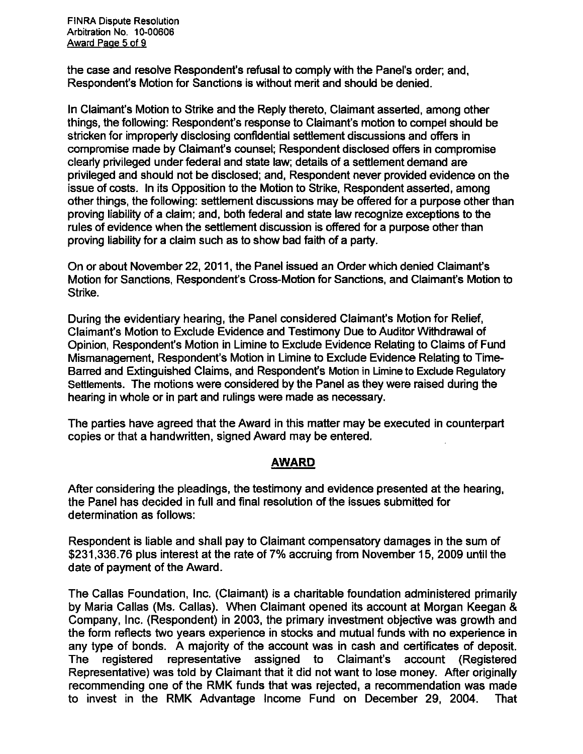FINRA Dispute Resolution Arbitration No. 10-00606 Award Page 5 of 9

the case and resolve Respondent's refusal to comply with the Panel's order; and, Respondent's Motion for Sanctions is without merit and should be denied.

In Claimant's Motion to Strike and the Reply thereto. Claimant asserted, among other things, the following: Respondent's response to Claimant's motion to compel should be stricken for improperly disclosing confidential settlement discussions and offers in compromise made by Claimant's counsel; Respondent disclosed offers in compromise cleariy privileged under federal and state law; details of a settlement demand are privileged and should not be disclosed; and, Respondent never provided evidence on the issue of costs. In its Opposition to the Motion to Strike, Respondent asserted, among other things, the following: settlement discussions may be offered for a purpose other than proving liability of a claim; and, both federal and state law recognize exceptions to the rules of evidence when the settlement discussion is offered for a purpose other than proving liability for a claim such as to show bad faith of a party.

On or about November 22, 2011, the Panel issued an Order which denied Claimant's Motion for Sanctions, Respondent's Cross-Motion for Sanctions, and Claimant's Motion to Strike.

During the evidentiary hearing, the Panel considered Claimant's Motion for Relief, Claimant's Motion to Exclude Evidence and Testimony Due to Auditor Withdrawal of Opinion, Respondent's Motion in Limine to Exclude Evidence Relating to Claims of Fund Mismanagement, Respondent's Motion in Limine to Exclude Evidence Relating to Time-Barred and Extinguished Claims, and Respondent's Motion in Limine to Exclude Regulatory Settlements. The motions were considered by the Panel as they were raised during the hearing in whole or in part and rulings were made as necessary.

The parties have agreed that the Award in this matter may be executed in counterpart copies or that a handwritten, signed Award may be entered.

## **AWARD**

After considering the pleadings, the testimony and evidence presented at the hearing, the Panel has decided in full and final resolution of the issues submifted for determination as follows:

Respondent is liable and shall pay to Claimant compensatory damages in the sum of \$231,336.76 plus interest at the rate of 7% accruing from November 15, 2009 until the date of payment of the Award.

The Callas Foundation, Inc. (Claimant) is a charitable foundation administered primarily by Maria Callas (Ms. Callas). When Claimant opened its account at Morgan Keegan & Company, Inc. (Respondent) in 2003, the primary investment objective was growth and the form reflects two years experience in stocks and mutual funds with no experience in any type of bonds. A majority of the account was in cash and certificates of deposit. The registered representative assigned to Claimant's account (Registered Representative) was told by Claimant that it did not want to lose money. After originally recommending one of the RMK funds that was rejected, a recommendation was made to invest in the RMK Advantage Income Fund on December 29, 2004. That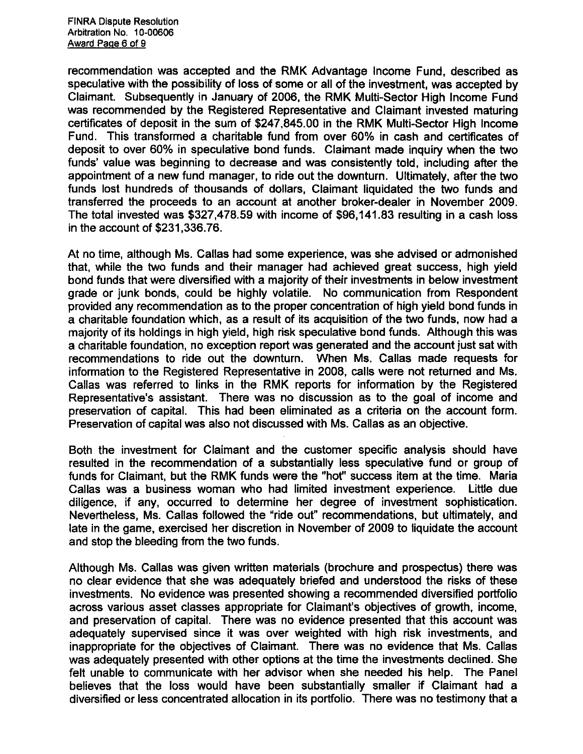**recommendation was accepted and the RMK Advantage income Fund, described as speculative with the possibility of loss of some or all of the investment, was accepted by**  Claimant. Subsequently in January of 2006, the RMK Multi-Sector High Income Fund **was recommended by the Registered Representative and Claimant invested maturing certificates of deposit in the sum of \$247,845.00 in the RMK Multi-Sector High Income Fund. This transformed a charitable fund from over 60% in cash and certificates of deposit to over 60% in speculative bond funds. Claimant made inquiry when the two funds' value was beginning to decrease and was consistently told, including after the appointment of a new fund manager, to ride out the downturn. Ultimately, after the two funds lost hundreds of thousands of dollars, Claimant liquidated the two funds and transferred the proceeds to an account at another broker-dealer in November 2009. The total invested was \$327,478.59 with income of \$96,141.83 resulting in a cash loss in the account of \$231,336.76.** 

**At no time, although Ms. Callas had some experience, was she advised or admonished that, while the two funds and their manager had achieved great success, high yield bond funds that were diversified with a majority of their investments in below investment grade or junk bonds, could be highly volatile. No communication from Respondent provided any recommendation as to the proper concentration of high yield bond funds in a charitable foundation which, as a result of its acquisition of the two funds, now had a majority of its holdings in high yield, high risk speculative bond funds. Although this was a charitable foundation, no exception report was generated and the account just sat with recommendations to ride out the downturn. When Ms. Callas made requests for information to the Registered Representative in 2008, calls were not returned and Ms. Callas was referred to links in the RMK reports for information by the Registered Representative's assistant. There was no discussion as to the goal of income and preservation of capital. This had been eliminated as a criteria on the account form. Preservation of capital was also not discussed with Ms. Callas as an objective.** 

**Both the investment for Claimant and the customer specific analysis should have resulted in the recommendation of a substantially less speculative fund or group of funds for Claimant, but the RMK funds were the "hot" success item at the time. Maria Callas was a business woman who had limited investment experience. Liftle due diligence, if any, occurred to determine her degree of investment sophistication. Nevertheless, Ms. Callas followed the "ride out" recommendations, but ultimately, and late in the game, exercised her discretion in November of 2009 to liquidate the account and stop the bleeding from the two funds.** 

**Although Ms. Callas was given wriften materials (brochure and prospectus) there was no clear evidence that she was adequately briefed and understood the risks of these investments. No evidence was presented showing a recommended diversified portfolio across various asset classes appropriate for Claimant's objectives of growth, income, and presen/ation of capital. There was no evidence presented that this account was**  adequately supervised since it was over weighted with high risk investments, and **inappropriate for the objectives of Claimant. There was no evidence that Ms. Callas was adequately presented with other options at the time the investments declined. She felt unable to communicate with her advisor when she needed his help. The Panel believes that the loss would have been substantially smaller if Claimant had a diversified or less concentrated allocation in its porffolio. There was no testimony that a**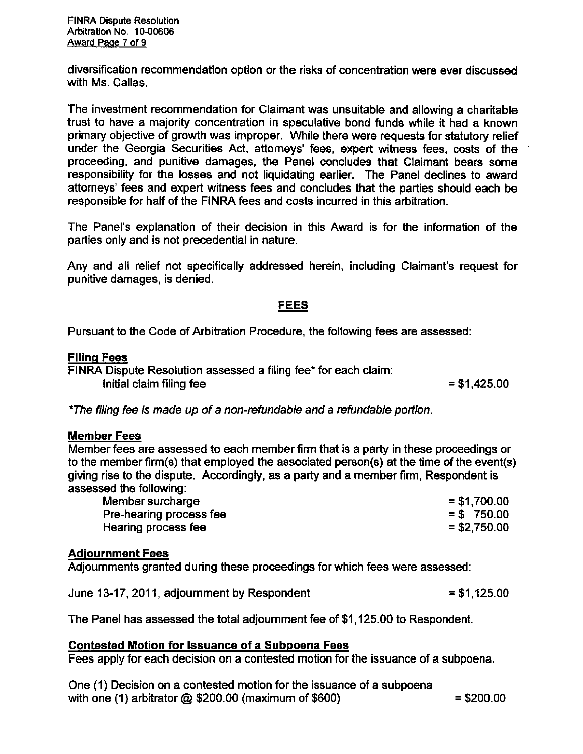FINRA Dispute Resolution Arbitration No. 10-00606 Award Page 7 of 9

diversification recommendation option or the risks of concentration were ever discussed with Ms. Callas.

The investment recommendation for Claimant was unsuitable and allowing a charitable trust to have a majority concentration in speculative bond funds while it had a known primary objective of growth was improper. While there were requests for statutory relief under the Georgia Securities Act, aftorneys' fees, expert witness fees, costs of the proceeding, and punitive damages, the Panel concludes that Claimant bears some responsibility for the losses and not liquidating earlier. The Panel declines to award attorneys' fees and expert witness fees and concludes that the parties should each be responsible for half of the FINRA fees and costs incurred in this arbitration.

The Panel's explanation of their decision in this Award is for the information of the parties only and is not precedential in nature.

Any and all relief not specifically addressed herein, including Claimant's request for punitive damages, is denied.

## **FEES**

**Pursuant to the Code of Arbitration Procedure, the following fees are assessed:** 

### **Filing Fees**

FINRA Dispute Resolution assessed a filing fee\* for each claim: Initial claim filing fee  $= $1,425.00$ 

\*The filing fee is made up of a non-refundable and a refundable portion.

### **Member Fees**

Member fees are assessed to each member firm that is a party in these proceedings or to the member firm(s) that employed the associated person(s) at the time of the event(s) giving rise to the dispute. Accordingly, as a party and a member firm, Respondent is assessed the following:

| Member surcharge        | $= $1,700.00$ |
|-------------------------|---------------|
| Pre-hearing process fee | $=$ \$750.00  |
| Hearing process fee     | $= $2,750.00$ |

### **Adjournment Fees**

Adjournments granted during these proceedings for which fees were assessed: Adjournments granted during these proceedings for which fees were assessed:

| June 13-17, 2011, adjournment by Respondent | $= $1,125.00$ |
|---------------------------------------------|---------------|
|                                             |               |

**The Panel has assessed the total adjournment fee of \$1,125.00 to Respondent.** 

**Contested Motion for Issuance of a Subpoena Fees** 

One (1) Decision on a contested motion for the issuance of a subpoena with one (1) arbitrator  $\omega$  \$200.00 (maximum of \$600)  $\qquad$  = \$200.00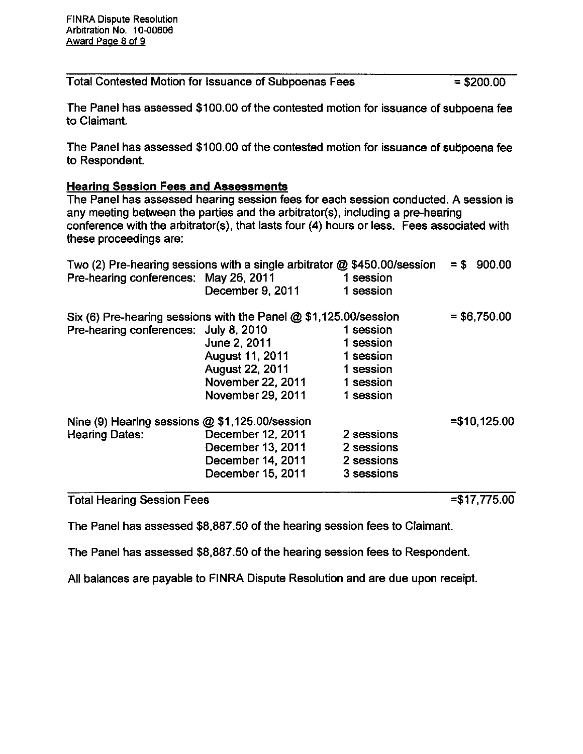Total Contested Motion for Issuance of Subpoenas Fees = \$200.00

The Panel has assessed \$100.00 of the contested motion for issuance of subpoena fee to Claimant

The Panel has assessed \$100.00 of the contested motion for issuance of subpoena fee to Respondent.

### **Hearing Session Fees and Assessments**

The Panel has assessed hearing session fees for each session conducted. A session is any meeting between the parties and the arbitrator(s), including a pre-hearing conference with the arbitrator(s), that lasts four (4) hours or less. Fees associated with these proceedings are:

|                                                                    | Two (2) Pre-hearing sessions with a single arbitrator @ \$450.00/session |            | $=$ \$ 900.00  |
|--------------------------------------------------------------------|--------------------------------------------------------------------------|------------|----------------|
| Pre-hearing conferences: May 26, 2011                              |                                                                          | 1 session  |                |
|                                                                    | December 9, 2011                                                         | 1 session  |                |
| Six (6) Pre-hearing sessions with the Panel $@$ \$1,125.00/session | $= $6,750.00$                                                            |            |                |
| Pre-hearing conferences: July 8, 2010                              |                                                                          | 1 session  |                |
|                                                                    | June 2, 2011                                                             | 1 session  |                |
|                                                                    | August 11, 2011                                                          | 1 session  |                |
|                                                                    | <b>August 22, 2011</b>                                                   | 1 session  |                |
|                                                                    | November 22, 2011                                                        | 1 session  |                |
|                                                                    | November 29, 2011                                                        | 1 session  |                |
| Nine (9) Hearing sessions @ \$1,125.00/session                     |                                                                          |            | $= $10,125.00$ |
| <b>Hearing Dates:</b>                                              | December 12, 2011                                                        | 2 sessions |                |
|                                                                    | December 13, 2011                                                        | 2 sessions |                |
|                                                                    | December 14, 2011                                                        | 2 sessions |                |
|                                                                    | December 15, 2011                                                        | 3 sessions |                |
|                                                                    |                                                                          |            |                |

**Total Hearing Session Fees** Total Hearing Session Fees = 1775.000 per session Fees = 1775.000 per session Fees = 1775.000 per session Fees

 $= $17,775.00$ 

The Panel has assessed \$8,887.50 of the hearing session fees to Claimant. The Panel has assessed \$8,887.50 of the hearing session fees to Claimant.

The Panel has assessed \$8,887.50 of the hearing session fees to Respondent. The Panel has assessed \$8,887.50 of the hearing session fees to Respondent.

All balances are payable to FINRA Dispute Resolution and are due upon receipt. All balances are payable to FINRA Dispute Resolution and are due upon receipt.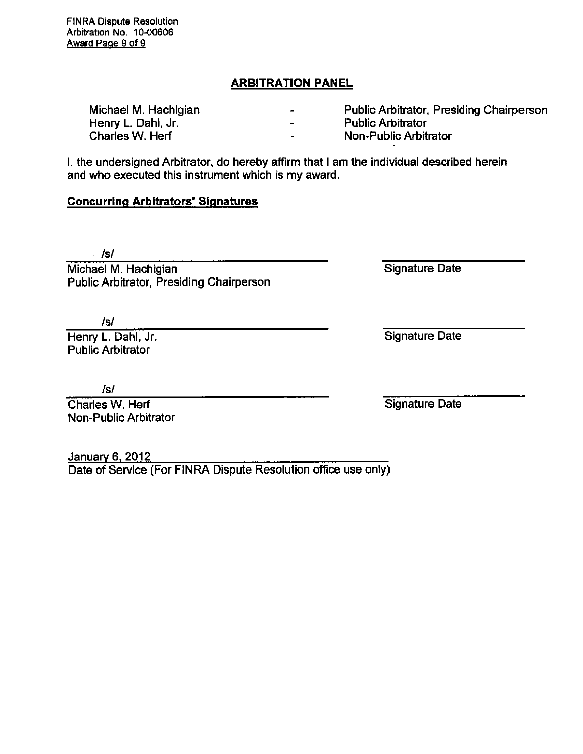## **ARBITRATION PANEL**

| Michael M. Hachigian | $\blacksquare$    | Public Arbitrator, Presiding Chairperson |
|----------------------|-------------------|------------------------------------------|
| Henry L. Dahl, Jr.   | <b>CONTRACTOR</b> | <b>Public Arbitrator</b>                 |
| Charles W. Herf      | $\sim$            | Non-Public Arbitrator                    |

I, the undersigned Arbitrator, do hereby affirm that I am the individual described herein and who executed this instrument which is my award.

# **Concurring Arbitrators' Signatures**

Isi

Michael M. Hachigian Public Arbitrator, Presiding Chairperson

Isi

Henry L. Dahl, Jr. Public Arbitrator

Isi

Charles W. Herf Non-Public Arbitrator

January 6, 2012 Date of Service (For FINRA Dispute Resolution office use only)

Signature Date

Signature Date

Signature Date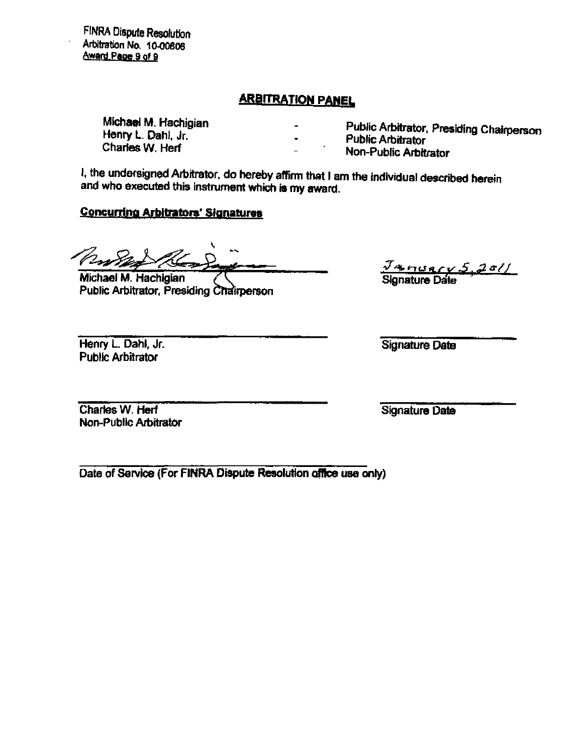**FINRA Dispute Resolution Arbitration No. 10-00606 Award Page 9 of 9** 

## **ARBITRATION PAMFI,**

**Michael M. Hachigian Henry L. Dahl, Jr. Charies W. Herf** 

**Public Arbitrator, Presiding Chairperson** 

**Public Arbitrator** 

**Non-Public Ariditrator** 

**I. the undersigned Arbitrator, do hereby atfimi that I am the individual described herein and who executed this instrument which is my award.** 

## **Concurring Arbitrators' Signatures**

**Michael M. Hachigian Public Arbitrator, Presiding Chairperson** 

**Henry L. Dahl, Jr. Public Arbitrator** 

**Signature Date** 

**Charies W. Herf Non-Pubtic Arbitrator**  **Signature Date** 

**Date of Service (For FINRA Dispute Resolution offtee use only)** 

**Signature Date**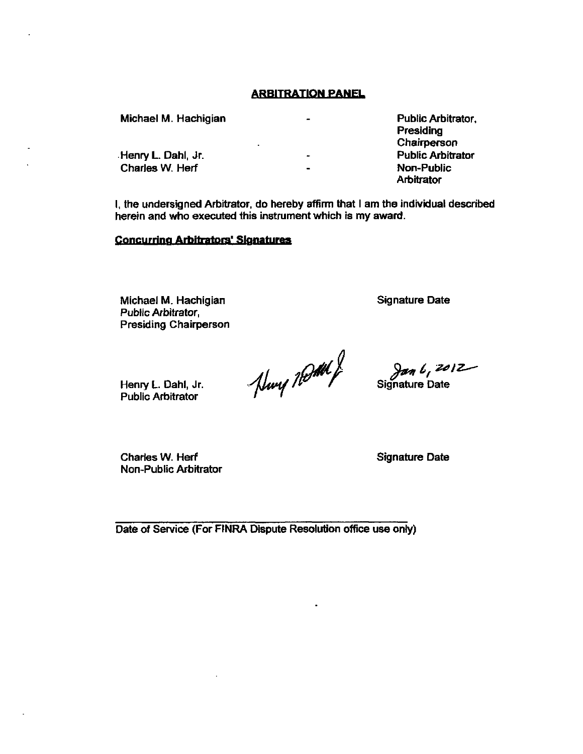### **ARBITRATION PANEL**

Michael M. Hachigian Public Arbitrator,  $\mathbf{r}$ Presiding Chairperson Henry L. Dahl, Jr. Public Arbitrator Charles W. Herf  $\overline{a}$ Non-Public **Arbitrator** 

I, the undersigned Arbitrator, do hereby affinm that I am the individual described herein and who executed this instrument which is my award.

### Concurring Arbitrators' Signatures

Michael M. Hachigian Public Arbitrator, Presiding Chairperson Signature Date

Huy Road

 $\frac{\partial a_n}{\partial t}$  Signature Date

Charies W. Herf Non-Public Arbitrator

Henry L. Dahl, Jr. Public Arbitrator

Signature Date

Date of Service (For FINRA Dispute Resolution office use only)